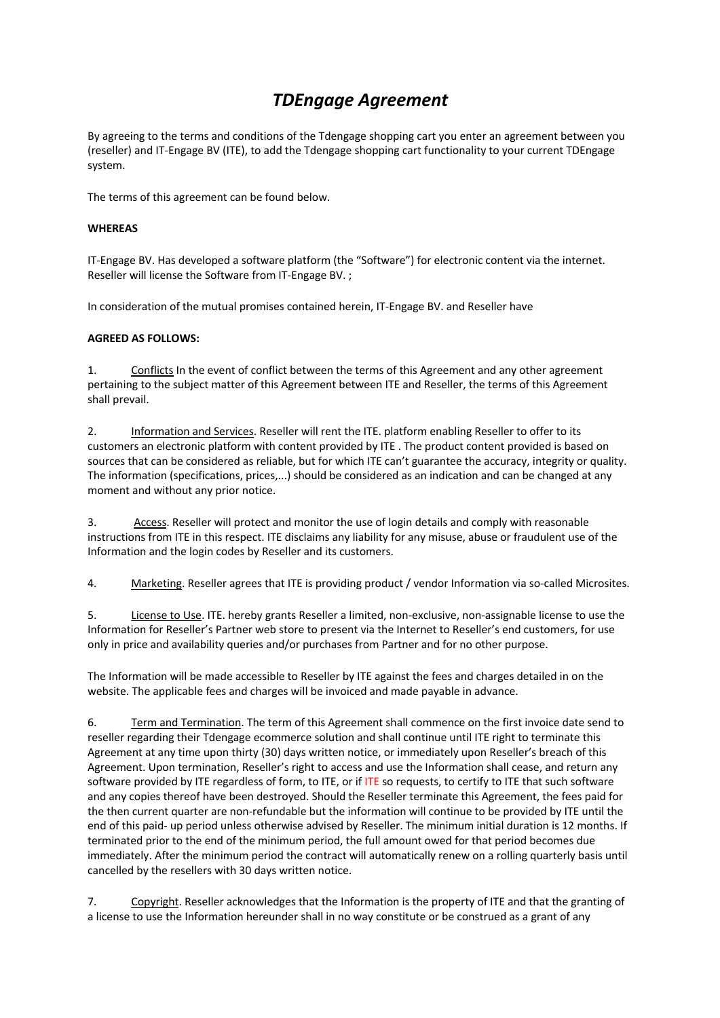## *TDEngage Agreement*

By agreeing to the terms and conditions of the Tdengage shopping cart you enter an agreement between you (reseller) and IT-Engage BV (ITE), to add the Tdengage shopping cart functionality to your current TDEngage system.

The terms of this agreement can be found below.

## **WHEREAS**

IT-Engage BV. Has developed a software platform (the "Software") for electronic content via the internet. Reseller will license the Software from IT-Engage BV. ;

In consideration of the mutual promises contained herein, IT-Engage BV. and Reseller have

## **AGREED AS FOLLOWS:**

1. Conflicts In the event of conflict between the terms of this Agreement and any other agreement pertaining to the subject matter of this Agreement between ITE and Reseller, the terms of this Agreement shall prevail.

2. Information and Services. Reseller will rent the ITE. platform enabling Reseller to offer to its customers an electronic platform with content provided by ITE . The product content provided is based on sources that can be considered as reliable, but for which ITE can't guarantee the accuracy, integrity or quality. The information (specifications, prices,...) should be considered as an indication and can be changed at any moment and without any prior notice.

3. Access. Reseller will protect and monitor the use of login details and comply with reasonable instructions from ITE in this respect. ITE disclaims any liability for any misuse, abuse or fraudulent use of the Information and the login codes by Reseller and its customers.

4. Marketing. Reseller agrees that ITE is providing product / vendor Information via so-called Microsites.

5. License to Use. ITE. hereby grants Reseller a limited, non-exclusive, non-assignable license to use the Information for Reseller's Partner web store to present via the Internet to Reseller's end customers, for use only in price and availability queries and/or purchases from Partner and for no other purpose.

The Information will be made accessible to Reseller by ITE against the fees and charges detailed in on the website. The applicable fees and charges will be invoiced and made payable in advance.

6. Term and Termination. The term of this Agreement shall commence on the first invoice date send to reseller regarding their Tdengage ecommerce solution and shall continue until ITE right to terminate this Agreement at any time upon thirty (30) days written notice, or immediately upon Reseller's breach of this Agreement. Upon termination, Reseller's right to access and use the Information shall cease, and return any software provided by ITE regardless of form, to ITE, or if ITE so requests, to certify to ITE that such software and any copies thereof have been destroyed. Should the Reseller terminate this Agreement, the fees paid for the then current quarter are non-refundable but the information will continue to be provided by ITE until the end of this paid- up period unless otherwise advised by Reseller. The minimum initial duration is 12 months. If terminated prior to the end of the minimum period, the full amount owed for that period becomes due immediately. After the minimum period the contract will automatically renew on a rolling quarterly basis until cancelled by the resellers with 30 days written notice.

7. Copyright. Reseller acknowledges that the Information is the property of ITE and that the granting of a license to use the Information hereunder shall in no way constitute or be construed as a grant of any